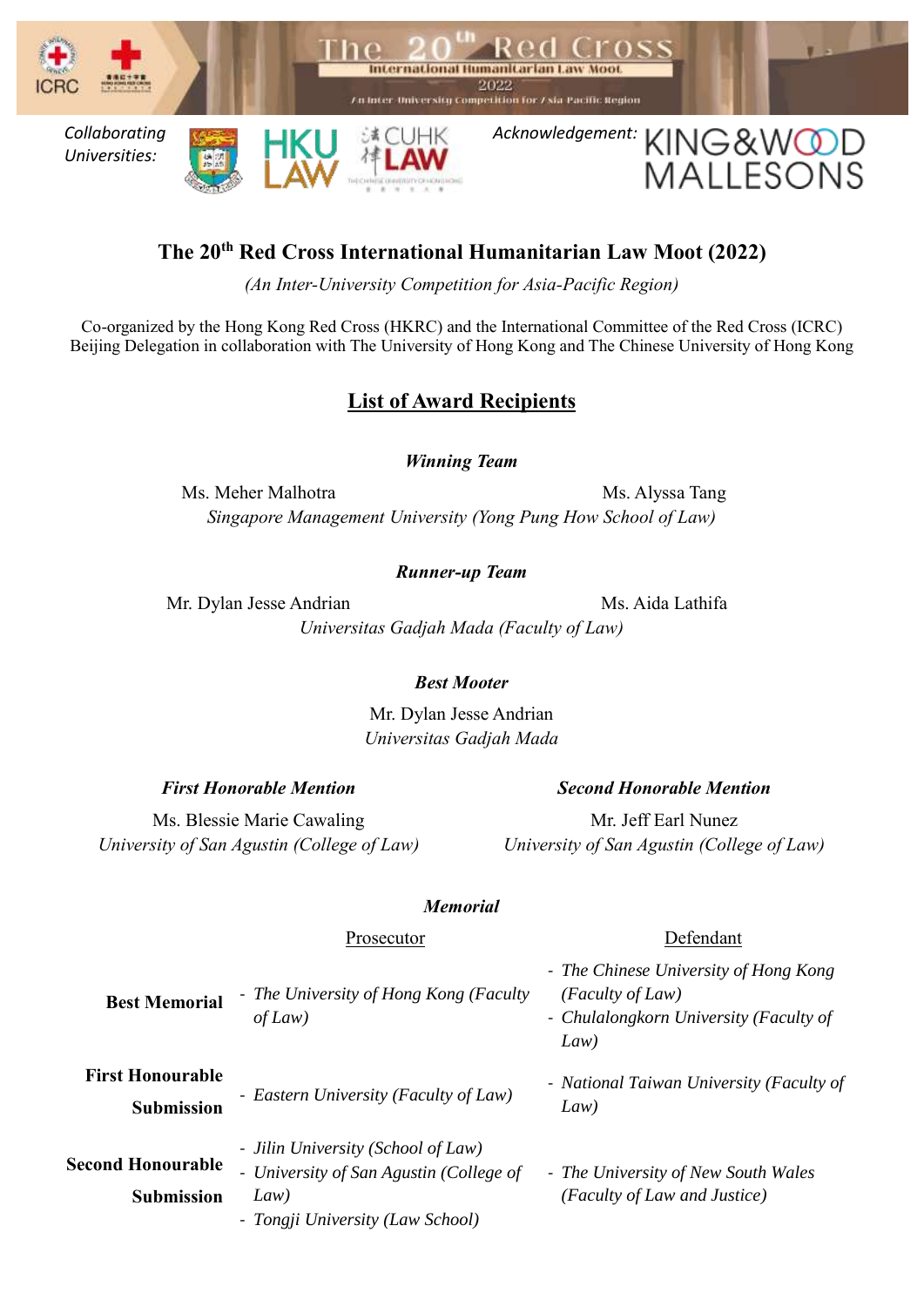

# **The 20th Red Cross International Humanitarian Law Moot (2022)**

*(An Inter-University Competition for Asia-Pacific Region)*

Co-organized by the Hong Kong Red Cross (HKRC) and the International Committee of the Red Cross (ICRC) Beijing Delegation in collaboration with The University of Hong Kong and The Chinese University of Hong Kong

## **List of Award Recipients**

*Winning Team*

Ms. Meher Malhotra Ms. Alyssa Tang *Singapore Management University (Yong Pung How School of Law)*

### *Runner-up Team*

Mr. Dylan Jesse Andrian Ms. Aida Lathifa *Universitas Gadjah Mada (Faculty of Law)*

> Mr. Dylan Jesse Andrian *Universitas Gadjah Mada*

*University of San Agustin (College of Law)*

Ms. Blessie Marie Cawaling

#### *First Honorable Mention Second Honorable Mention*

Mr. Jeff Earl Nunez *University of San Agustin (College of Law)*

#### *Memorial*

#### Prosecutor Defendant

| <b>Best Memorial</b>                          | - The University of Hong Kong (Faculty<br>of Law)                                                                         | - The Chinese University of Hong Kong<br>$(Faculty \ of Law)$<br>- Chulalongkorn University (Faculty of<br>Law) |
|-----------------------------------------------|---------------------------------------------------------------------------------------------------------------------------|-----------------------------------------------------------------------------------------------------------------|
| <b>First Honourable</b><br><b>Submission</b>  | - Eastern University (Faculty of Law)                                                                                     | - National Taiwan University (Faculty of<br>Law)                                                                |
| <b>Second Honourable</b><br><b>Submission</b> | - Jilin University (School of Law)<br>- University of San Agustin (College of<br>Law)<br>- Tongji University (Law School) | - The University of New South Wales<br>(Faculty of Law and Justice)                                             |

*Best Mooter*